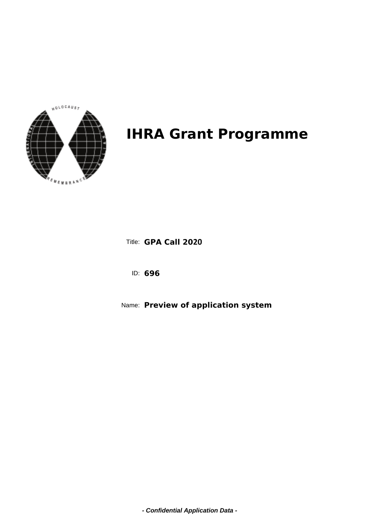

**GPA Call 2020** Title:

**696** ID:

**Preview of application system** Name:

**- Confidential Application Data -**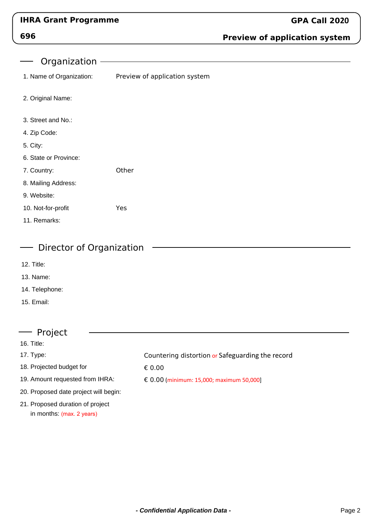## **696**

### **Preview of application system**

Organization

1. Name of Organization: Preview of application system

- 2. Original Name:
- 3. Street and No.:
- 4. Zip Code:
- 5. City:
- 6. State or Province:
- 7. Country: **Other**
- 8. Mailing Address:
- 9. Website:
- 10. Not-for-profit Yes
- 11. Remarks:

#### Director of Organization

- 12. Title:
- 13. Name:
- 14. Telephone:
- 15. Email:

#### Project

- 16. Title:
- 17. Type:
- 18. Projected budget for
- 19. Amount requested from IHRA:
- 20. Proposed date project will begin:
- 21. Proposed duration of project in months: (max. 2 years)

Countering distortion or Safeguarding the record

€ 0.00

€ 0.00 (minimum: 15,000; maximum 50,000]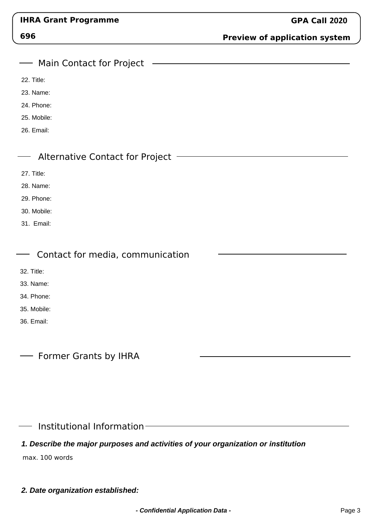| I<br>×,<br>÷<br>۰.<br>×<br>v.<br>× |
|------------------------------------|
|------------------------------------|

### **Preview of application system**

| Main Contact for Project                                                          |
|-----------------------------------------------------------------------------------|
| 22. Title:                                                                        |
| 23. Name:                                                                         |
| 24. Phone:                                                                        |
| 25. Mobile:                                                                       |
| 26. Email:                                                                        |
|                                                                                   |
| <b>Alternative Contact for Project</b>                                            |
| 27. Title:                                                                        |
| 28. Name:                                                                         |
| 29. Phone:                                                                        |
| 30. Mobile:                                                                       |
| 31. Email:                                                                        |
|                                                                                   |
| Contact for media, communication                                                  |
| 32. Title:                                                                        |
| 33. Name:                                                                         |
| 34. Phone:                                                                        |
| 35. Mobile:                                                                       |
| 36. Email:                                                                        |
|                                                                                   |
| <b>Former Grants by IHRA</b>                                                      |
|                                                                                   |
|                                                                                   |
|                                                                                   |
|                                                                                   |
| Institutional Information-                                                        |
| 1. Describe the major purposes and activities of your organization or institution |

max. 100 words

**2. Date organization established:**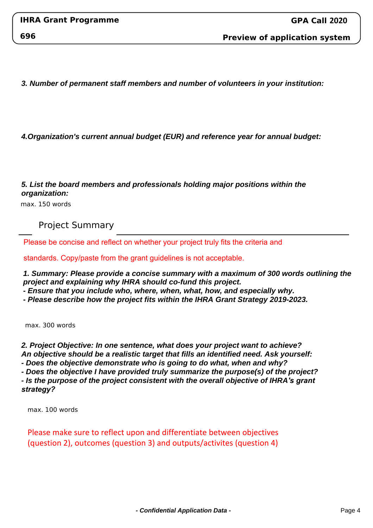**Preview of application system**

**3. Number of permanent staff members and number of volunteers in your institution:**

**4.Organization's current annual budget (EUR) and reference year for annual budget:**

#### **5. List the board members and professionals holding major positions within the organization:**

max. 150 words

Project Summary

Please be concise and reflect on whether your project truly fits the criteria and

standards. Copy/paste from the grant guidelines is not acceptable.

**1. Summary: Please provide a concise summary with a maximum of 300 words outlining the project and explaining why IHRA should co-fund this project.**

**- Ensure that you include who, where, when, what, how, and especially why.**

**- Please describe how the project fits within the IHRA Grant Strategy 2019-2023.**

max. 300 words

**2. Project Objective: In one sentence, what does your project want to achieve? An objective should be a realistic target that fills an identified need. Ask yourself: - Does the objective demonstrate who is going to do what, when and why? - Does the objective I have provided truly summarize the purpose(s) of the project? - Is the purpose of the project consistent with the overall objective of IHRA***'s grant* 

*strategy?*

max. 100 words

Please make sure to reflect upon and differentiate between objectives (question 2), outcomes (question 3) and outputs/activites (question 4)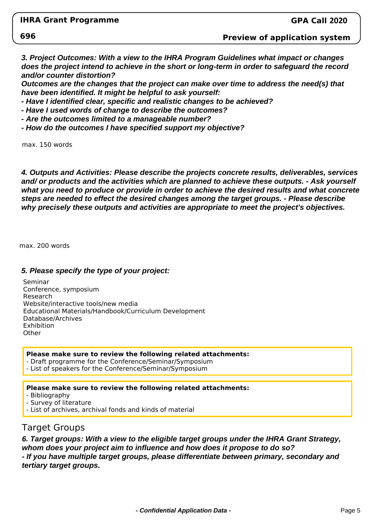**696**

#### **Preview of application system**

**3. Project Outcomes: With a view to the IHRA Program Guidelines what impact or changes does the project intend to achieve in the short or long-term in order to safeguard the record and/or counter distortion?**

**Outcomes are the changes that the project can make over time to address the need(s) that have been identified. It might be helpful to ask yourself:**

**- Have I identified clear, specific and realistic changes to be achieved?**

**- Have I used words of change to describe the outcomes?**

**- Are the outcomes limited to a manageable number?**

**- How do the outcomes I have specified support my objective?**

max. 150 words

**4. Outputs and Activities: Please describe the projects concrete results, deliverables, services and/ or products and the activities which are planned to achieve these outputs. - Ask yourself what you need to produce or provide in order to achieve the desired results and what concrete steps are needed to effect the desired changes among the target groups. - Please describe why precisely these outputs and activities are appropriate to meet the project's objectives.**

max. 200 words

#### **5. Please specify the type of your project:**

Seminar Conference, symposium Research Website/interactive tools/new media Educational Materials/Handbook/Curriculum Development Database/Archives Exhibition **Other** 

**Please make sure to review the following related attachments:** - Draft programme for the Conference/Seminar/Symposium

- List of speakers for the Conference/Seminar/Symposium

#### **Please make sure to review the following related attachments:**

- Bibliography

- Survey of literature

- List of archives, archival fonds and kinds of material

#### Target Groups

**6. Target groups: With a view to the eligible target groups under the IHRA Grant Strategy, whom does your project aim to influence and how does it propose to do so? - If you have multiple target groups, please differentiate between primary, secondary and tertiary target groups.**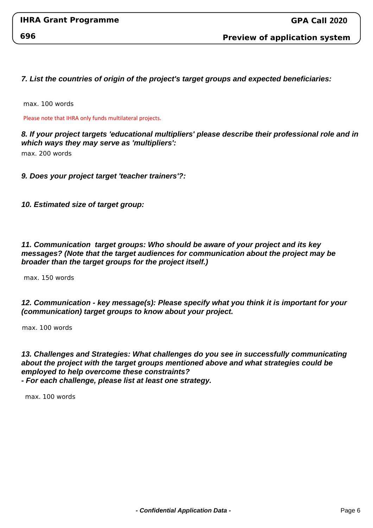**7. List the countries of origin of the project's target groups and expected beneficiaries:**

max. 100 words

Please note that IHRA only funds multilateral projects.

**8. If your project targets 'educational multipliers' please describe their professional role and in which ways they may serve as 'multipliers':**

max. 200 words

**9. Does your project target 'teacher trainers'?:**

**10. Estimated size of target group:**

**11. Communication target groups: Who should be aware of your project and its key messages? (Note that the target audiences for communication about the project may be broader than the target groups for the project itself.)**

max. 150 words

#### **12. Communication - key message(s): Please specify what you think it is important for your (communication) target groups to know about your project.**

max. 100 words

**13. Challenges and Strategies: What challenges do you see in successfully communicating about the project with the target groups mentioned above and what strategies could be employed to help overcome these constraints? - For each challenge, please list at least one strategy.**

max. 100 words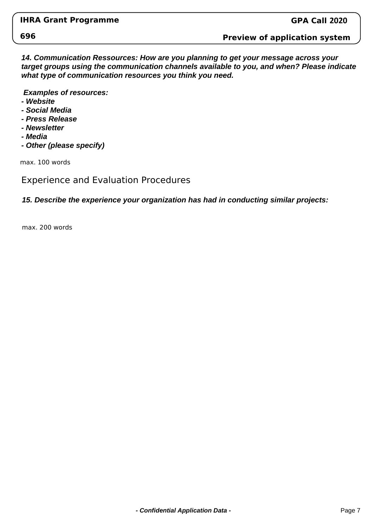#### **Preview of application system**

**14. Communication Ressources: How are you planning to get your message across your target groups using the communication channels available to you, and when? Please indicate what type of communication resources you think you need.**

 **Examples of resources:**

- **Website**
- **Social Media**
- **Press Release**
- **Newsletter**
- **Media**
- **Other (please specify)**

max. 100 words

### Experience and Evaluation Procedures

#### **15. Describe the experience your organization has had in conducting similar projects:**

max. 200 words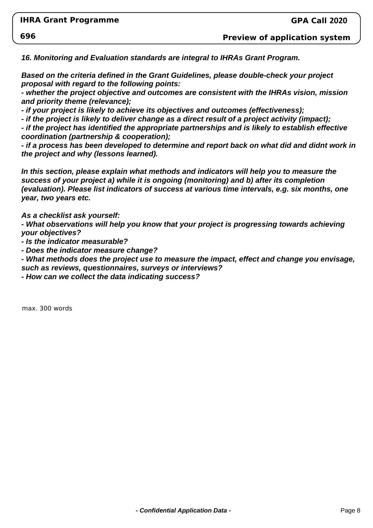**Preview of application system**

**16. Monitoring and Evaluation standards are integral to IHRAs Grant Program.** 

**Based on the criteria defined in the Grant Guidelines, please double-check your project proposal with regard to the following points:**

- whether the project objective and outcomes are consistent with the IHRAs vision, mission **and priority theme (relevance);**

**- if your project is likely to achieve its objectives and outcomes (effectiveness);**

**- if the project is likely to deliver change as a direct result of a project activity (impact);**

**- if the project has identified the appropriate partnerships and is likely to establish effective coordination (partnership & cooperation);**

- if a process has been developed to determine and report back on what did and didnt work in **the project and why (lessons learned).**

**In this section, please explain what methods and indicators will help you to measure the success of your project a) while it is ongoing (monitoring) and b) after its completion (evaluation). Please list indicators of success at various time intervals, e.g. six months, one year, two years etc.**

**As a checklist ask yourself:**

**- What observations will help you know that your project is progressing towards achieving your objectives?**

**- Is the indicator measurable?**

**- Does the indicator measure change?**

**- What methods does the project use to measure the impact, effect and change you envisage, such as reviews, questionnaires, surveys or interviews?**

**- How can we collect the data indicating success?**

max. 300 words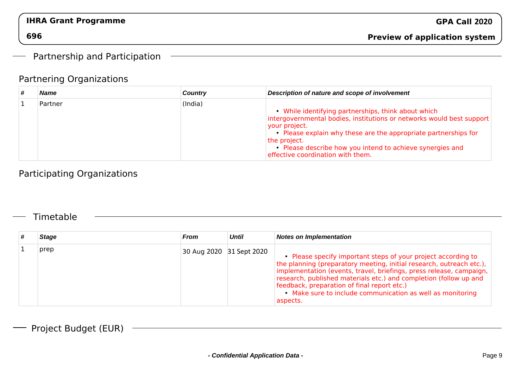### Partnership and Participation

### Partnering Organizations

| # | <b>Name</b> | <b>Country</b> | Description of nature and scope of involvement                                                                                                                                                                                                                                                                                 |
|---|-------------|----------------|--------------------------------------------------------------------------------------------------------------------------------------------------------------------------------------------------------------------------------------------------------------------------------------------------------------------------------|
|   | Partner     | (India)        | • While identifying partnerships, think about which<br>intergovernmental bodies, institutions or networks would best support<br>your project.<br>Please explain why these are the appropriate partnerships for<br>the project.<br>Please describe how you intend to achieve synergies and<br>effective coordination with them. |

<u> 1989 - Johann Stoff, amerikansk politiker (d. 1989)</u>

### Participating Organizations

### Timetable

| <b>Stage</b> | <b>From</b>              | <b>Until</b> | <b>Notes on Implementation</b>                                                                                                                                                                                                                                                                                                                                                                             |
|--------------|--------------------------|--------------|------------------------------------------------------------------------------------------------------------------------------------------------------------------------------------------------------------------------------------------------------------------------------------------------------------------------------------------------------------------------------------------------------------|
| prep         | 30 Aug 2020 31 Sept 2020 |              | • Please specify important steps of your project according to<br>the planning (preparatory meeting, initial research, outreach etc.),<br>implementation (events, travel, briefings, press release, campaign,<br>research, published materials etc.) and completion (follow up and<br>feedback, preparation of final report etc.)<br>• Make sure to include communication as well as monitoring<br>aspects. |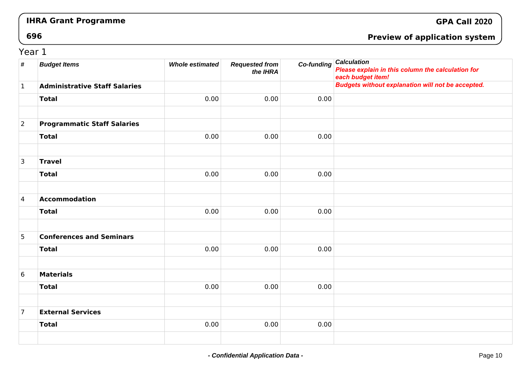### **GPA Call <sup>2020</sup>**

**696**

### **Preview of application system**

### Year 1

| $\pmb{\#}$      | <b>Budget Items</b>                  | <b>Whole estimated</b> | <b>Requested from</b><br>the IHRA | Co-funding | <b>Calculation</b><br>Please explain in this column the calculation for<br>each budget item! |
|-----------------|--------------------------------------|------------------------|-----------------------------------|------------|----------------------------------------------------------------------------------------------|
| $\mathbf{1}$    | <b>Administrative Staff Salaries</b> |                        |                                   |            | <b>Budgets without explanation will not be accepted.</b>                                     |
|                 | <b>Total</b>                         | 0.00                   | 0.00                              | 0.00       |                                                                                              |
|                 |                                      |                        |                                   |            |                                                                                              |
| $\overline{2}$  | <b>Programmatic Staff Salaries</b>   |                        |                                   |            |                                                                                              |
|                 | <b>Total</b>                         | 0.00                   | 0.00                              | 0.00       |                                                                                              |
|                 |                                      |                        |                                   |            |                                                                                              |
| $\mathsf{3}$    | <b>Travel</b>                        |                        |                                   |            |                                                                                              |
|                 | <b>Total</b>                         | 0.00                   | 0.00                              | 0.00       |                                                                                              |
|                 |                                      |                        |                                   |            |                                                                                              |
| $\overline{4}$  | Accommodation                        |                        |                                   |            |                                                                                              |
|                 | <b>Total</b>                         | 0.00                   | 0.00                              | 0.00       |                                                                                              |
|                 |                                      |                        |                                   |            |                                                                                              |
| 5               | <b>Conferences and Seminars</b>      |                        |                                   |            |                                                                                              |
|                 | <b>Total</b>                         | 0.00                   | 0.00                              | 0.00       |                                                                                              |
|                 |                                      |                        |                                   |            |                                                                                              |
| $6\phantom{.}6$ | <b>Materials</b>                     |                        |                                   |            |                                                                                              |
|                 | <b>Total</b>                         | 0.00                   | 0.00                              | 0.00       |                                                                                              |
|                 |                                      |                        |                                   |            |                                                                                              |
| $\overline{7}$  | <b>External Services</b>             |                        |                                   |            |                                                                                              |
|                 | <b>Total</b>                         | 0.00                   | 0.00                              | 0.00       |                                                                                              |
|                 |                                      |                        |                                   |            |                                                                                              |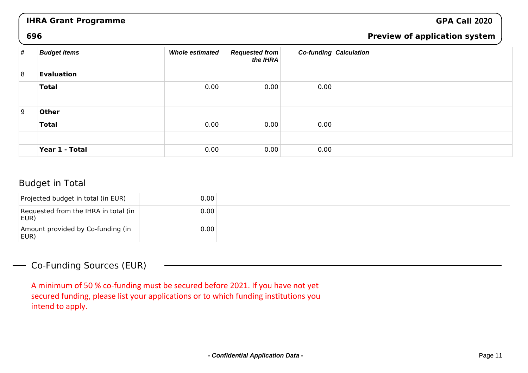### **GPA Call <sup>2020</sup>**

#### **696**

### **Preview of application system**

| # | <b>Budget Items</b> | Whole estimated | <b>Requested from</b><br>the IHRA |      | <b>Co-funding Calculation</b> |
|---|---------------------|-----------------|-----------------------------------|------|-------------------------------|
| 8 | <b>Evaluation</b>   |                 |                                   |      |                               |
|   | <b>Total</b>        | 0.00            | 0.00                              | 0.00 |                               |
|   |                     |                 |                                   |      |                               |
| 9 | <b>Other</b>        |                 |                                   |      |                               |
|   | <b>Total</b>        | 0.00            | 0.00                              | 0.00 |                               |
|   |                     |                 |                                   |      |                               |
|   | Year 1 - Total      | 0.00            | 0.00                              | 0.00 |                               |

### Budget in Total

| Projected budget in total (in EUR)           | 0.00 |  |
|----------------------------------------------|------|--|
| Requested from the IHRA in total (in<br>EUR) | 0.00 |  |
| Amount provided by Co-funding (in<br>EUR)    | 0.00 |  |

### Co-Funding Sources (EUR)

A minimum of 50 % co-funding must be secured before 2021. If you have not yet secured funding, please list your applications or to which funding institutions you intend to apply.